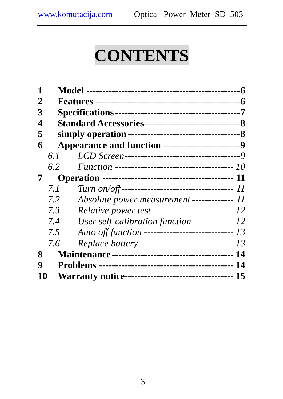# **CONTENTS**

| 1                                                          |      |                                                   |  |  |  |
|------------------------------------------------------------|------|---------------------------------------------------|--|--|--|
| 2                                                          |      |                                                   |  |  |  |
| 3                                                          |      |                                                   |  |  |  |
| 4                                                          |      |                                                   |  |  |  |
| 5                                                          |      |                                                   |  |  |  |
| 6                                                          |      | Appearance and function ------------------------9 |  |  |  |
|                                                            | 6. L |                                                   |  |  |  |
|                                                            | 6.2  |                                                   |  |  |  |
| 7                                                          |      |                                                   |  |  |  |
|                                                            | 7.1  |                                                   |  |  |  |
|                                                            | 7.2  | Absolute power measurement ------------ 11        |  |  |  |
|                                                            | 7.3  | Relative power test ------------------------- 12  |  |  |  |
|                                                            | 7.4  |                                                   |  |  |  |
|                                                            | 7.5  | Auto off function --------------------------- 13  |  |  |  |
|                                                            | 7.6  | Replace battery ---------------------------- 13   |  |  |  |
| 8                                                          |      |                                                   |  |  |  |
| 9                                                          |      |                                                   |  |  |  |
| Warranty notice---------------------------------- 15<br>10 |      |                                                   |  |  |  |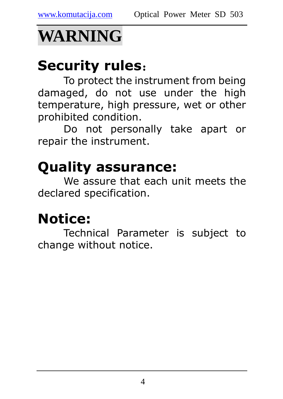# **WARNING**

## Security rules:

To protect the instrument from being damaged, do not use under the high temperature, high pressure, wet or other prohibited condition.

Do not personally take apart or repair the instrument.

# Quality assurance:

We assure that each unit meets the declared specification.

## Notice:

Technical Parameter is subject to change without notice.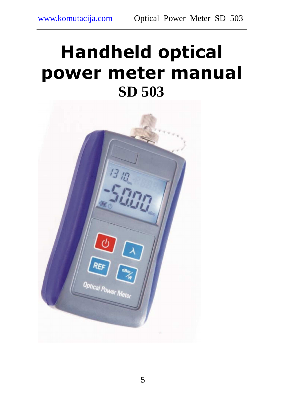# Handheld optical power meter manual **SD 503**

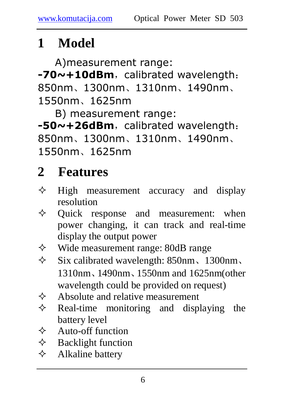## **1 Model**

A)measurement range:  $-70$  $\sim$  +10dBm, calibrated wavelength: 850nm、1300nm、1310nm、1490nm、 1550nm、1625nm

B) measurement range:  $-50$ ~+26dBm, calibrated wavelength: 850nm、1300nm、1310nm、1490nm、 1550nm、1625nm

### **2 Features**

- $\Diamond$  High measurement accuracy and display resolution
- $\Diamond$  Quick response and measurement: when power changing, it can track and real-time display the output power
- $\Diamond$  Wide measurement range: 80dB range
- $\div$  Six calibrated wavelength: 850nm, 1300nm, 1310nm、1490nm、1550nm and 1625nm(other wavelength could be provided on request)
- $\diamond$  Absolute and relative measurement<br>  $\diamond$  Real-time monitoring and disp
- Real-time monitoring and displaying the battery level
- $\diamond$  Auto-off function<br>  $\diamond$  Backlight function
- Backlight function
- $\Diamond$  Alkaline battery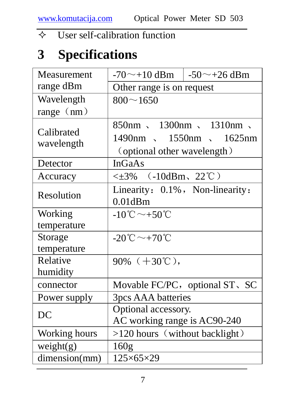#### $\Diamond$  User self-calibration function

### **3 Specifications**

| Measurement              | $-70$ ~ +10 dBm $-50$ ~ +26 dBm                                                                                    |                                |  |
|--------------------------|--------------------------------------------------------------------------------------------------------------------|--------------------------------|--|
| range dBm                | Other range is on request                                                                                          |                                |  |
| Wavelength               | $800 - 1650$                                                                                                       |                                |  |
| range $(nm)$             |                                                                                                                    |                                |  |
| Calibrated<br>wavelength | $850 \text{nm}$ , $1300 \text{nm}$ , $1310 \text{nm}$ ,<br>1490nm 、 1550nm 、 1625nm<br>(optional other wavelength) |                                |  |
| Detector                 | <b>InGaAs</b>                                                                                                      |                                |  |
| Accuracy                 | $\leq \pm 3\%$ (-10dBm, 22°C)                                                                                      |                                |  |
| Resolution               | Linearity: 0.1%, Non-linearity:<br>$0.01$ d $Bm$                                                                   |                                |  |
| Working                  | $-10^{\circ}\text{C}\sim+50^{\circ}\text{C}$                                                                       |                                |  |
| temperature              |                                                                                                                    |                                |  |
| Storage                  | $-20^{\circ}\text{C}\sim+70^{\circ}\text{C}$                                                                       |                                |  |
| temperature              |                                                                                                                    |                                |  |
| Relative                 | 90% $(+30^{\circ}\mathrm{C}),$                                                                                     |                                |  |
| humidity                 |                                                                                                                    |                                |  |
| connector                |                                                                                                                    | Movable FC/PC, optional ST, SC |  |
| Power supply             | 3pcs AAA batteries                                                                                                 |                                |  |
| DC                       | Optional accessory.<br>AC working range is AC90-240                                                                |                                |  |
| Working hours            | >120 hours (without backlight)                                                                                     |                                |  |
| weight(g)                | 160 <sub>g</sub>                                                                                                   |                                |  |
| dimension(mm)            | $125\times 65\times 29$                                                                                            |                                |  |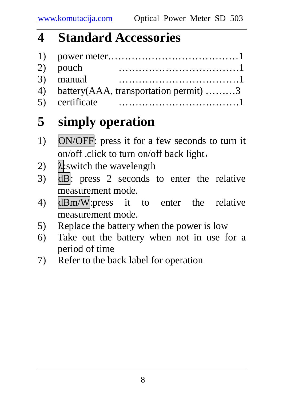#### **4 Standard Accessories**

| 2) pouch                                  |
|-------------------------------------------|
| 3) manual                                 |
| 4) battery (AAA, transportation permit) 3 |
|                                           |

### **5 simply operation**

- 1) ON/OFF: press it for a few seconds to turn it on/off .click to turn on/off back light,
- 2)  $\lambda$ : switch the wavelength
- 3) dB: press 2 seconds to enter the relative measurement mode.
- 4) dBm/W:press it to enter the relative measurement mode.
- 5) Replace the battery when the power is low
- 6) Take out the battery when not in use for a period of time
- 7) Refer to the back label for operation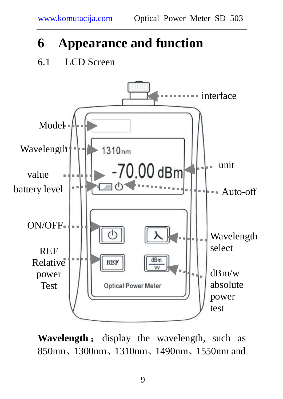### **6 Appearance and function**

#### 6.1 LCD Screen



**Wavelength** : display the wavelength, such as 850nm、1300nm、1310nm、1490nm、1550nm and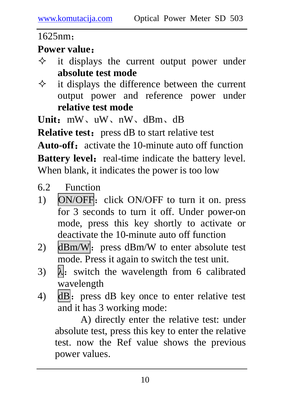1625nm;

#### **Power value**:

- $\Diamond$  it displays the current output power under **absolute test mode**
- $\Diamond$  it displays the difference between the current output power and reference power under **relative test mode**

**Unit**:mW、uW、nW、dBm、dB

**Relative test:** press dB to start relative test **Auto-off**: activate the 10-minute auto off function **Battery level:** real-time indicate the battery level. When blank, it indicates the power is too low

- 6.2 Function
- 1) ON/OFF: click ON/OFF to turn it on. press for 3 seconds to turn it off. Under power-on mode, press this key shortly to activate or deactivate the 10-minute auto off function
- 2)  $dBm/W$ : press  $dBm/W$  to enter absolute test mode. Press it again to switch the test unit.
- 3)  $\lambda$ : switch the wavelength from 6 calibrated wavelength
- 4) dB: press dB key once to enter relative test and it has 3 working mode:

A) directly enter the relative test: under absolute test, press this key to enter the relative test. now the Ref value shows the previous power values.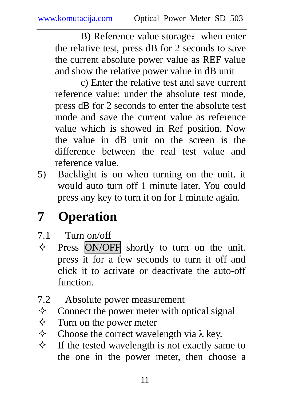B) Reference value storage: when enter the relative test, press dB for 2 seconds to save the current absolute power value as REF value and show the relative power value in dB unit

c) Enter the relative test and save current reference value: under the absolute test mode, press dB for 2 seconds to enter the absolute test mode and save the current value as reference value which is showed in Ref position. Now the value in dB unit on the screen is the difference between the real test value and reference value.

5) Backlight is on when turning on the unit. it would auto turn off 1 minute later. You could press any key to turn it on for 1 minute again.

## **7 Operation**

- 7.1 Turn on/off
- $\Diamond$  Press ON/OFF shortly to turn on the unit. press it for a few seconds to turn it off and click it to activate or deactivate the auto-off function.
- 7.2 Absolute power measurement
- $\Diamond$  Connect the power meter with optical signal
- $\Diamond$  Turn on the power meter
- $\Diamond$  Choose the correct wavelength via  $\lambda$  key.
- $\Diamond$  If the tested wavelength is not exactly same to the one in the power meter, then choose a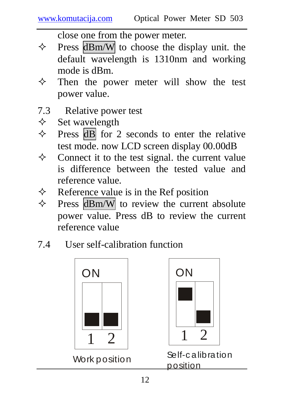close one from the power meter.

- $\Diamond$  Press dBm/W to choose the display unit. the default wavelength is 1310nm and working mode is dBm.
- $\Diamond$  Then the power meter will show the test power value.
- 7.3 Relative power test
- $\diamond$  Set wavelength
- $\Diamond$  Press dB for 2 seconds to enter the relative test mode. now LCD screen display 00.00dB
- $\Diamond$  Connect it to the test signal. the current value is difference between the tested value and reference value.
- $\Diamond$  Reference value is in the Ref position
- $\Diamond$  Press dBm/W to review the current absolute power value. Press dB to review the current reference value
- 7.4 User self-calibration function





Self-c alibration position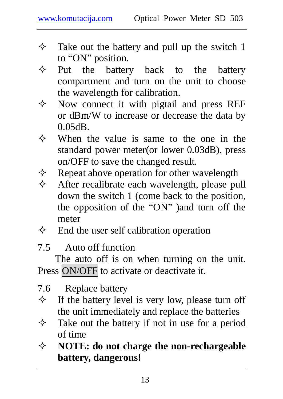- $\Diamond$  Take out the battery and pull up the switch 1 to "ON" position.
- $\Leftrightarrow$  Put the battery back to the battery compartment and turn on the unit to choose the wavelength for calibration.
- $\Diamond$  Now connect it with pigtail and press REF or dBm/W to increase or decrease the data by 0.05dB.
- $\Leftrightarrow$  When the value is same to the one in the standard power meter(or lower 0.03dB), press on/OFF to save the changed result.
- $\Diamond$  Repeat above operation for other wavelength
- $\Diamond$  After recalibrate each wavelength, please pull down the switch 1 (come back to the position, the opposition of the "ON" )and turn off the meter
- $\Diamond$  End the user self calibration operation
- 7.5 Auto off function

The auto off is on when turning on the unit. Press ON/OFF to activate or deactivate it.

7.6 Replace battery

- $\Diamond$  If the battery level is very low, please turn off the unit immediately and replace the batteries
- $\Diamond$  Take out the battery if not in use for a period of time
- **NOTE: do not charge the non-rechargeable battery, dangerous!**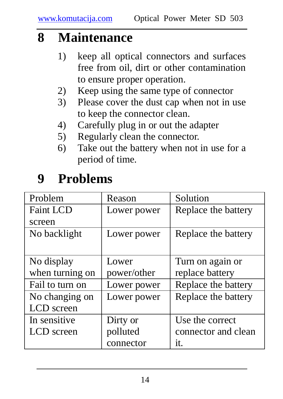#### **8 Maintenance**

- 1) keep all optical connectors and surfaces free from oil, dirt or other contamination to ensure proper operation.
- 2) Keep using the same type of connector
- 3) Please cover the dust cap when not in use to keep the connector clean.
- 4) Carefully plug in or out the adapter
- 5) Regularly clean the connector.
- 6) Take out the battery when not in use for a period of time.

### **9 Problems**

| Problem          | Reason      | Solution            |
|------------------|-------------|---------------------|
| <b>Faint LCD</b> | Lower power | Replace the battery |
| screen           |             |                     |
| No backlight     | Lower power | Replace the battery |
|                  |             |                     |
| No display       | Lower       | Turn on again or    |
| when turning on  | power/other | replace battery     |
| Fail to turn on  | Lower power | Replace the battery |
| No changing on   | Lower power | Replace the battery |
| LCD screen       |             |                     |
| In sensitive     | Dirty or    | Use the correct     |
| LCD screen       | polluted    | connector and clean |
|                  | connector   | it.                 |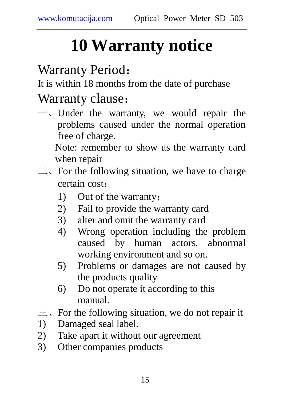# **10 Warranty notice**

#### Warranty Period:

It is within 18 months from the date of purchase

#### Warranty clause:

 $\rightarrow$ , Under the warranty, we would repair the problems caused under the normal operation free of charge.

Note: remember to show us the warranty card when repair

- $\equiv$ , For the following situation, we have to charge certain cost:
	- 1) Out of the warranty;
	- 2) Fail to provide the warranty card
	- 3) alter and omit the warranty card
	- 4) Wrong operation including the problem caused by human actors, abnormal working environment and so on.
	- 5) Problems or damages are not caused by the products quality
	- 6) Do not operate it according to this manual.
- $\equiv$ . For the following situation, we do not repair it
- 1) Damaged seal label.
- 2) Take apart it without our agreement
- 3) Other companies products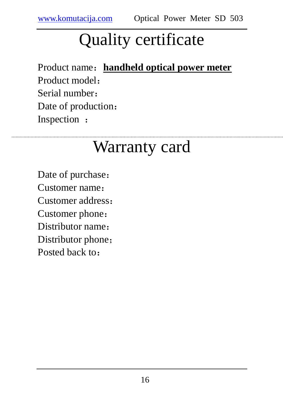# Quality certificate

Product name:**handheld optical power meter** Product model: Serial number: Date of production: Inspection :

## Warranty card

Date of purchase: Customer name: Customer address: Customer phone: Distributor name: Distributor phone; Posted back to: